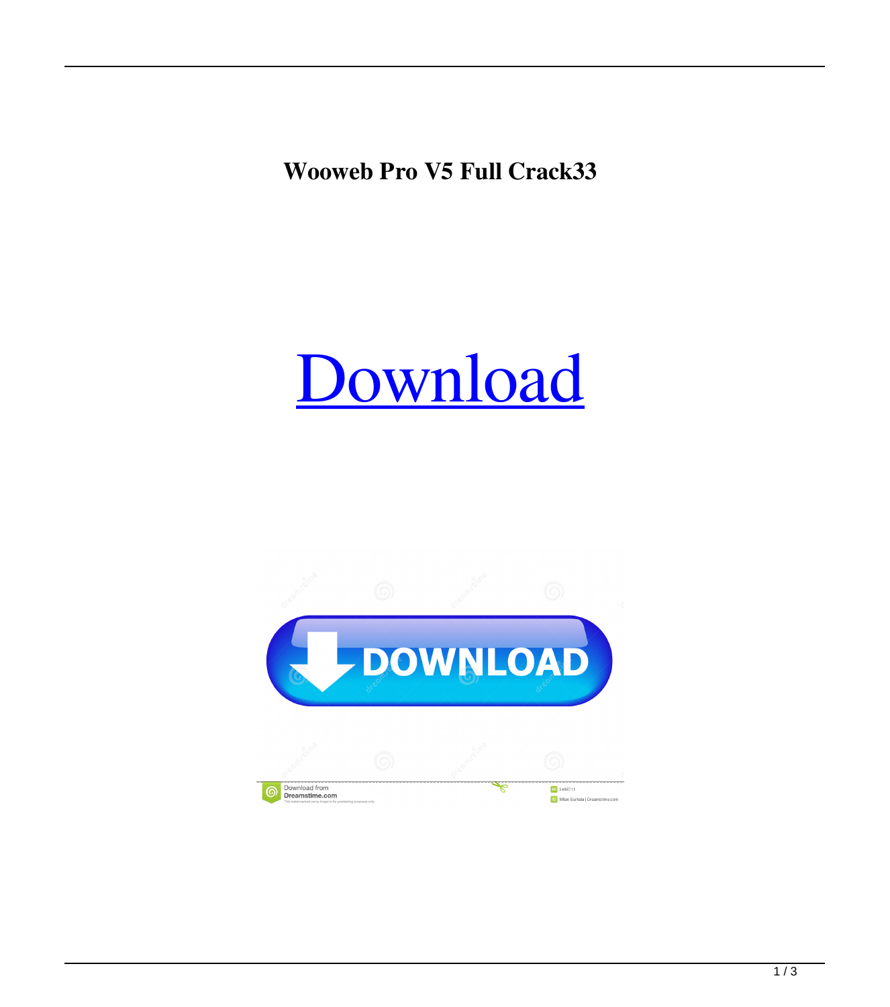**Wooweb Pro V5 Full Crack33**

## [Download](http://evacdir.com/bahkt/V29vd2ViIFBybyBWNSBGdWxsIENyYWNrMzMV29/boards/bonefish.ZG93bmxvYWR8TWYxTW1ocE1IeDhNVFkxTWpRMk16QTFNSHg4TWpVM05IeDhLRTBwSUhKbFlXUXRZbXh2WnlCYlJtRnpkQ0JIUlU1ZA?daft=/ferses/polemics/caregivers/)

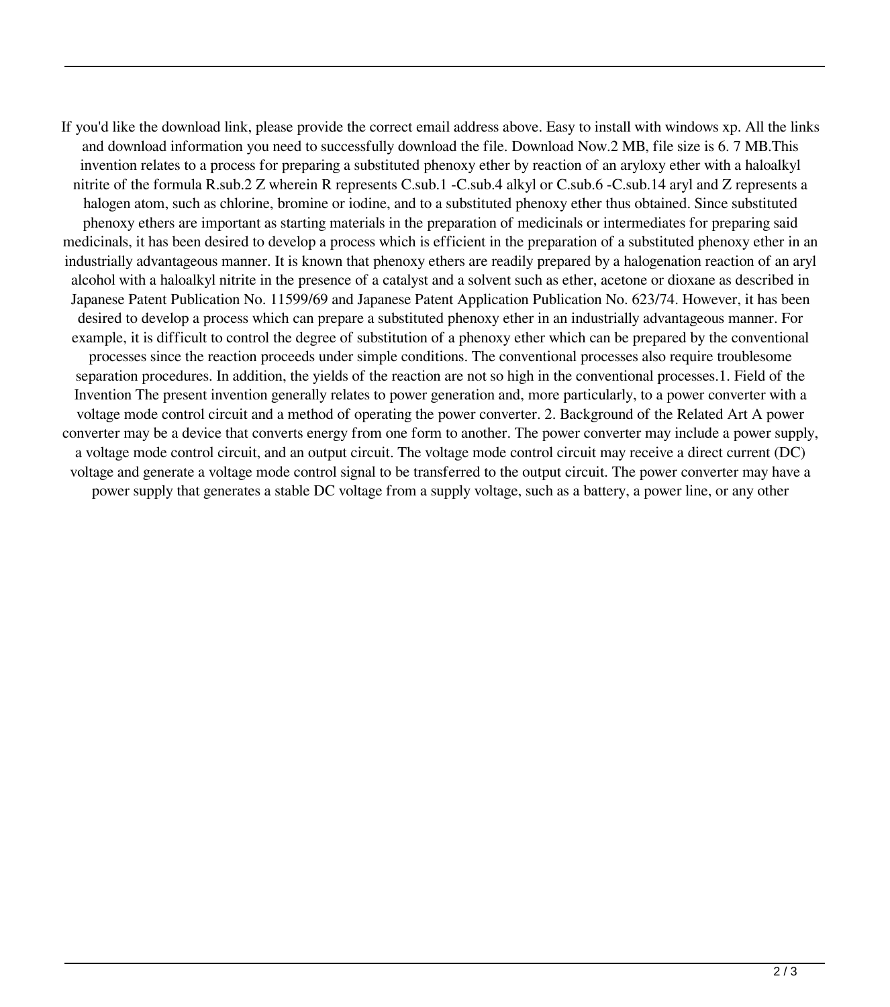If you'd like the download link, please provide the correct email address above. Easy to install with windows xp. All the links and download information you need to successfully download the file. Download Now.2 MB, file size is 6. 7 MB.This invention relates to a process for preparing a substituted phenoxy ether by reaction of an aryloxy ether with a haloalkyl nitrite of the formula R.sub.2 Z wherein R represents C.sub.1 -C.sub.4 alkyl or C.sub.6 -C.sub.14 aryl and Z represents a halogen atom, such as chlorine, bromine or iodine, and to a substituted phenoxy ether thus obtained. Since substituted phenoxy ethers are important as starting materials in the preparation of medicinals or intermediates for preparing said medicinals, it has been desired to develop a process which is efficient in the preparation of a substituted phenoxy ether in an industrially advantageous manner. It is known that phenoxy ethers are readily prepared by a halogenation reaction of an aryl alcohol with a haloalkyl nitrite in the presence of a catalyst and a solvent such as ether, acetone or dioxane as described in Japanese Patent Publication No. 11599/69 and Japanese Patent Application Publication No. 623/74. However, it has been desired to develop a process which can prepare a substituted phenoxy ether in an industrially advantageous manner. For example, it is difficult to control the degree of substitution of a phenoxy ether which can be prepared by the conventional processes since the reaction proceeds under simple conditions. The conventional processes also require troublesome separation procedures. In addition, the yields of the reaction are not so high in the conventional processes.1. Field of the Invention The present invention generally relates to power generation and, more particularly, to a power converter with a voltage mode control circuit and a method of operating the power converter. 2. Background of the Related Art A power converter may be a device that converts energy from one form to another. The power converter may include a power supply, a voltage mode control circuit, and an output circuit. The voltage mode control circuit may receive a direct current (DC) voltage and generate a voltage mode control signal to be transferred to the output circuit. The power converter may have a power supply that generates a stable DC voltage from a supply voltage, such as a battery, a power line, or any other